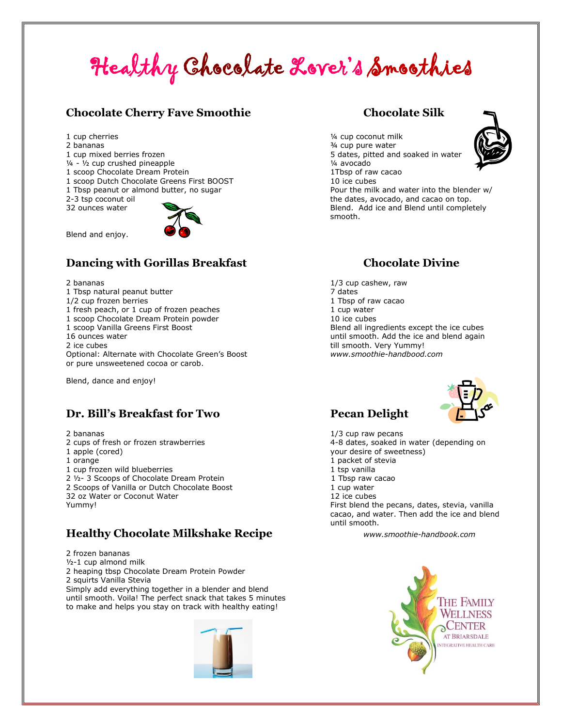# Healthy Chocolate Lover's Smoothies

#### **Chocolate Cherry Fave Smoothie Chocolate Silk**

- 
- 
- 
- $\frac{1}{4}$   $\frac{1}{2}$  cup crushed pineapple  $\frac{1}{4}$  avocado
- 1 scoop Chocolate Dream Protein 1Tbsp of raw cacao
- 1 scoop Dutch Chocolate Greens First BOOST 10 ice cubes
- 



Blend and enjoy.

## **Dancing with Gorillas Breakfast Chocolate Divine**

- 1 Tbsp natural peanut butter 7 dates
- 
- 1 fresh peach, or 1 cup of frozen peaches 1 cup water
- 1 scoop Chocolate Dream Protein powder 10 ice cubes
- 

Optional: Alternate with Chocolate Green's Boost *www.smoothie-handbood.com* or pure unsweetened cocoa or carob.

Blend, dance and enjoy!

## **Dr. Bill's Breakfast for Two Pecan Delight**

- 
- 
- 
- 1 cup frozen wild blueberries 1 tsp vanilla
- 2 1/2-3 Scoops of Chocolate Dream Protein 1 Tbsp raw cacao
- 2 Scoops of Vanilla or Dutch Chocolate Boost 1 cup water
- 32 oz Water or Coconut Water 12 ice cubes

## **Healthy Chocolate Milkshake Recipe** *www.smoothie-handbook.com*

2 frozen bananas ½-1 cup almond milk 2 heaping tbsp Chocolate Dream Protein Powder 2 squirts Vanilla Stevia Simply add everything together in a blender and blend until smooth. Voila! The perfect snack that takes 5 minutes to make and helps you stay on track with healthy eating!



1 cup cherries  $\frac{1}{4}$  cup coconut milk<br>2 bananas  $\frac{3}{4}$  cup pure water  $\frac{3}{4}$  cup pure water 1 cup mixed berries frozen 5 dates, pitted and soaked in water 1 Tbsp peanut or almond butter, no sugar Pour the milk and water into the blender w/ 2-3 tsp coconut oil the dates, avocado, and cacao on top. 32 ounces water Blend. Add ice and Blend until completely smooth.

2 bananas 1/3 cup cashew, raw 1/2 cup frozen berries 1 Tbsp of raw cacao 1 scoop Vanilla Greens First Boost Blend all ingredients except the ice cubes 16 ounces water until smooth. Add the ice and blend again 2 ice cubes till smooth. Very Yummy!



2 bananas 1/3 cup raw pecans 2 cups of fresh or frozen strawberries 4-8 dates, soaked in water (depending on 1 apple (cored) your desire of sweetness) 1 orange 1 packet of stevia Yummy! The states of the pecans, dates, stevia, vanilla cacao, and water. Then add the ice and blend until smooth.



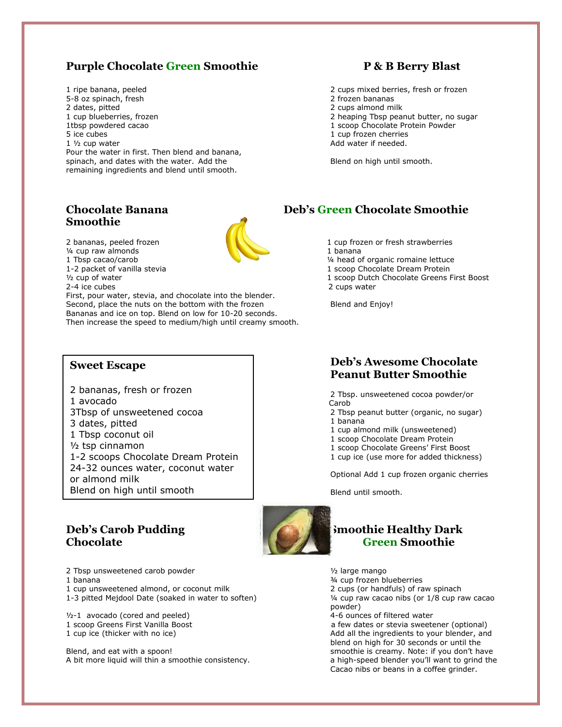### **Purple Chocolate Green Smoothie P & B Berry Blast**

1 ripe banana, peeled 2 cups mixed berries, fresh or frozen 5-8 oz spinach, fresh 2 frozen bananas 2 dates, pitted 2 cups almond milk<br>1 cup blueberries, frozen 2 cups almond milk<br>2 heaping Tbsp pear 1tbsp powdered cacao 1 scoop Chocolate Protein Powder 5 ice cubes 1 cup frozen cherries 1 1/2 cup water **Add water if needed.** Pour the water in first. Then blend and banana, spinach, and dates with the water. Add the Blend on high until smooth. remaining ingredients and blend until smooth.

## **Smoothie**



<sup>1/4</sup> cup raw almonds 1 banana

First, pour water, stevia, and chocolate into the blender. Second, place the nuts on the bottom with the frozen Blend and Enjoy! Bananas and ice on top. Blend on low for 10-20 seconds. Then increase the speed to medium/high until creamy smooth.

#### **Sweet Escape**

2 bananas, fresh or frozen 1 avocado 3Tbsp of unsweetened cocoa 3 dates, pitted 1 Tbsp coconut oil ½ tsp cinnamon 1-2 scoops Chocolate Dream Protein 24-32 ounces water, coconut water or almond milk Blend on high until smooth

## **Chocolate Green Smoothie**

- 2 Tbsp unsweetened carob powder<br>
1 banana<br>
<sup>3</sup>/4 cup frozen bl
- 
- 1 cup unsweetened almond, or coconut milk 2 cups (or handfuls) of raw spinach
- 1-3 pitted Mejdool Date (soaked in water to soften) ¼ cup raw cacao nibs (or 1/8 cup raw cacao

 $1/2-1$  avocado (cored and peeled)

Blend, and eat with a spoon! same smoothie is creamy. Note: if you don't have A bit more liquid will thin a smoothie consistency. A high-speed blender you'll want to grind the

2 heaping Tbsp peanut butter, no sugar

### **Chocolate Banana Deb's Green Chocolate Smoothie**

2 bananas, peeled frozen 1 cup frozen or fresh strawberries 1 Tbsp cacao/carob ¼ head of organic romaine lettuce 1-2 packet of vanilla stevia 1 scoop Chocolate Dream Protein <sup>1</sup>/2 cup of water 1 scoop Dutch Chocolate Greens First Boost<br>2-4 ice cubes 2-4 centers and the cubes of the cubes of the cubes of the cubes 2 cubs water 2 cups water

#### **Deb's Awesome Chocolate Peanut Butter Smoothie**

2 Tbsp. unsweetened cocoa powder/or Carob

- 2 Tbsp peanut butter (organic, no sugar) 1 banana
- 1 cup almond milk (unsweetened)
- l 1 scoop Chocolate Dream Protein
- 1 scoop Chocolate Greens' First Boost
- 1 cup ice (use more for added thickness)

Optional Add 1 cup frozen organic cherries

Blend until smooth.

## **Deb's Carob Pudding Smoothie Healthy Dark Smoothie Healthy Dark**

3/4 cup frozen blueberries

powder)<br>4-6 ounces of filtered water

1 scoop Greens First Vanilla Boost a few dates or stevia sweetener (optional)<br>1 cup ice (thicker with no ice) **a** few dates or stevia sweetener (optional) Add all the ingredients to your blender, and blend on high for 30 seconds or until the Cacao nibs or beans in a coffee grinder.